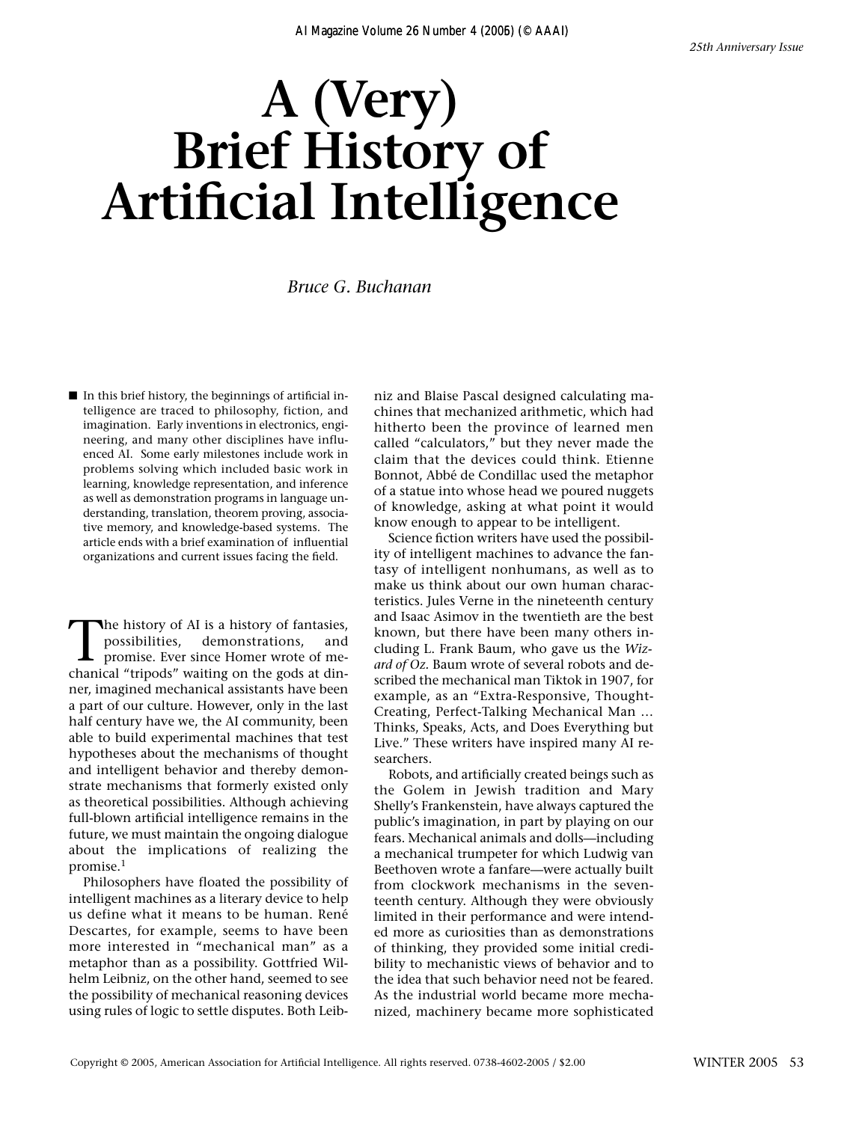## **A (Very) Brief History of Artificial Intelligence**

*Bruce G. Buchanan*

■ In this brief history, the beginnings of artificial intelligence are traced to philosophy, fiction, and imagination. Early inventions in electronics, engineering, and many other disciplines have influenced AI. Some early milestones include work in problems solving which included basic work in learning, knowledge representation, and inference as well as demonstration programs in language understanding, translation, theorem proving, associative memory, and knowledge-based systems. The article ends with a brief examination of influential organizations and current issues facing the field.

The history of AI is a history of fantasies,<br>possibilities, demonstrations, and<br>promise. Ever since Homer wrote of me-<br>chanical "tripods" waiting on the gods at dinpossibilities, demonstrations, and promise. Ever since Homer wrote of mechanical "tripods" waiting on the gods at dinner, imagined mechanical assistants have been a part of our culture. However, only in the last half century have we, the AI community, been able to build experimental machines that test hypotheses about the mechanisms of thought and intelligent behavior and thereby demonstrate mechanisms that formerly existed only as theoretical possibilities. Although achieving full-blown artificial intelligence remains in the future, we must maintain the ongoing dialogue about the implications of realizing the promise.<sup>1</sup>

Philosophers have floated the possibility of intelligent machines as a literary device to help us define what it means to be human. René Descartes, for example, seems to have been more interested in "mechanical man" as a metaphor than as a possibility. Gottfried Wilhelm Leibniz, on the other hand, seemed to see the possibility of mechanical reasoning devices using rules of logic to settle disputes. Both Leibniz and Blaise Pascal designed calculating machines that mechanized arithmetic, which had hitherto been the province of learned men called "calculators," but they never made the claim that the devices could think. Etienne Bonnot, Abbé de Condillac used the metaphor of a statue into whose head we poured nuggets of knowledge, asking at what point it would know enough to appear to be intelligent.

Science fiction writers have used the possibility of intelligent machines to advance the fantasy of intelligent nonhumans, as well as to make us think about our own human characteristics. Jules Verne in the nineteenth century and Isaac Asimov in the twentieth are the best known, but there have been many others including L. Frank Baum, who gave us the *Wizard of Oz.* Baum wrote of several robots and described the mechanical man Tiktok in 1907, for example, as an "Extra-Responsive, Thought-Creating, Perfect-Talking Mechanical Man … Thinks, Speaks, Acts, and Does Everything but Live." These writers have inspired many AI researchers.

Robots, and artificially created beings such as the Golem in Jewish tradition and Mary Shelly's Frankenstein, have always captured the public's imagination, in part by playing on our fears. Mechanical animals and dolls—including a mechanical trumpeter for which Ludwig van Beethoven wrote a fanfare—were actually built from clockwork mechanisms in the seventeenth century. Although they were obviously limited in their performance and were intended more as curiosities than as demonstrations of thinking, they provided some initial credibility to mechanistic views of behavior and to the idea that such behavior need not be feared. As the industrial world became more mechanized, machinery became more sophisticated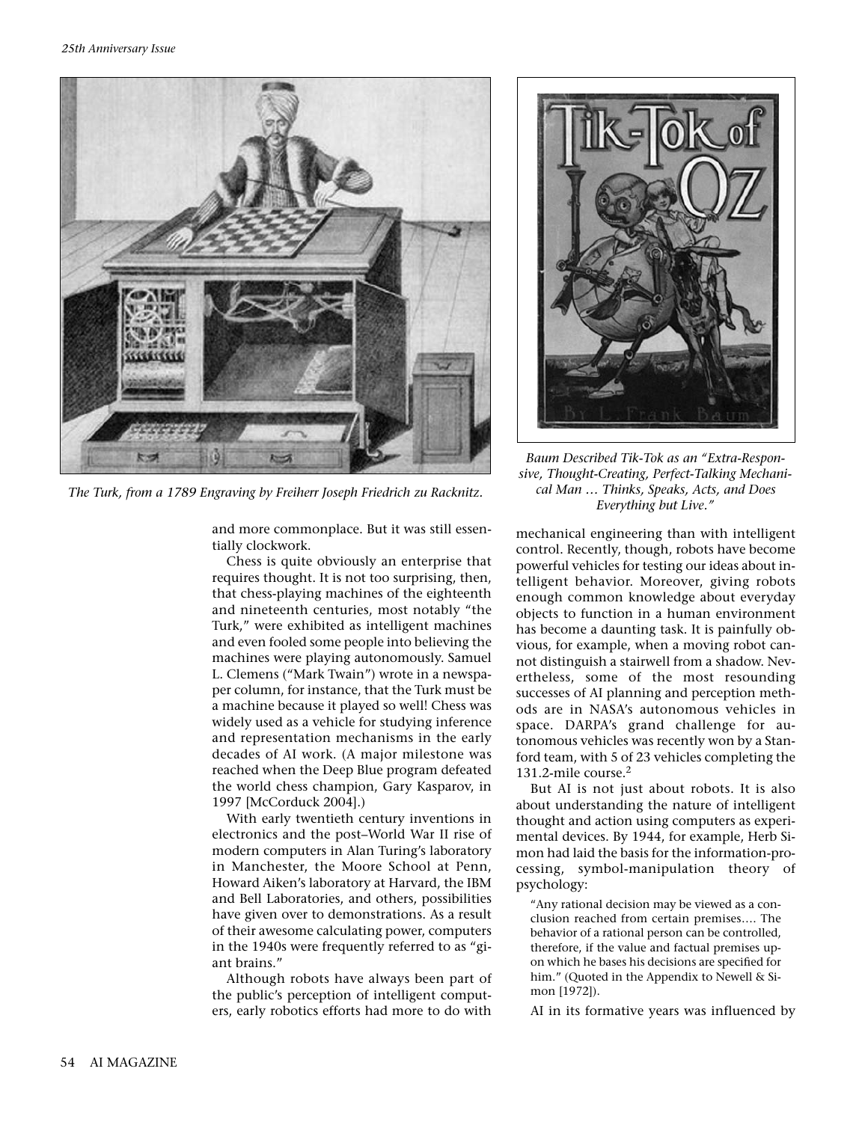

*The Turk, from a 1789 Engraving by Freiherr Joseph Friedrich zu Racknitz.*

*Baum Described Tik-Tok as an "Extra-Responsive, Thought-Creating, Perfect-Talking Mechanical Man … Thinks, Speaks, Acts, and Does Everything but Live."* 

and more commonplace. But it was still essentially clockwork.

Chess is quite obviously an enterprise that requires thought. It is not too surprising, then, that chess-playing machines of the eighteenth and nineteenth centuries, most notably "the Turk," were exhibited as intelligent machines and even fooled some people into believing the machines were playing autonomously. Samuel L. Clemens ("Mark Twain") wrote in a newspaper column, for instance, that the Turk must be a machine because it played so well! Chess was widely used as a vehicle for studying inference and representation mechanisms in the early decades of AI work. (A major milestone was reached when the Deep Blue program defeated the world chess champion, Gary Kasparov, in 1997 [McCorduck 2004].)

With early twentieth century inventions in electronics and the post–World War II rise of modern computers in Alan Turing's laboratory in Manchester, the Moore School at Penn, Howard Aiken's laboratory at Harvard, the IBM and Bell Laboratories, and others, possibilities have given over to demonstrations. As a result of their awesome calculating power, computers in the 1940s were frequently referred to as "giant brains."

Although robots have always been part of the public's perception of intelligent computers, early robotics efforts had more to do with

mechanical engineering than with intelligent control. Recently, though, robots have become powerful vehicles for testing our ideas about intelligent behavior. Moreover, giving robots enough common knowledge about everyday objects to function in a human environment has become a daunting task. It is painfully obvious, for example, when a moving robot cannot distinguish a stairwell from a shadow. Nevertheless, some of the most resounding successes of AI planning and perception methods are in NASA's autonomous vehicles in space. DARPA's grand challenge for autonomous vehicles was recently won by a Stanford team, with 5 of 23 vehicles completing the 131.2-mile course.2

But AI is not just about robots. It is also about understanding the nature of intelligent thought and action using computers as experimental devices. By 1944, for example, Herb Simon had laid the basis for the information-processing, symbol-manipulation theory of psychology:

"Any rational decision may be viewed as a conclusion reached from certain premises…. The behavior of a rational person can be controlled, therefore, if the value and factual premises upon which he bases his decisions are specified for him." (Quoted in the Appendix to Newell & Simon [1972]).

AI in its formative years was influenced by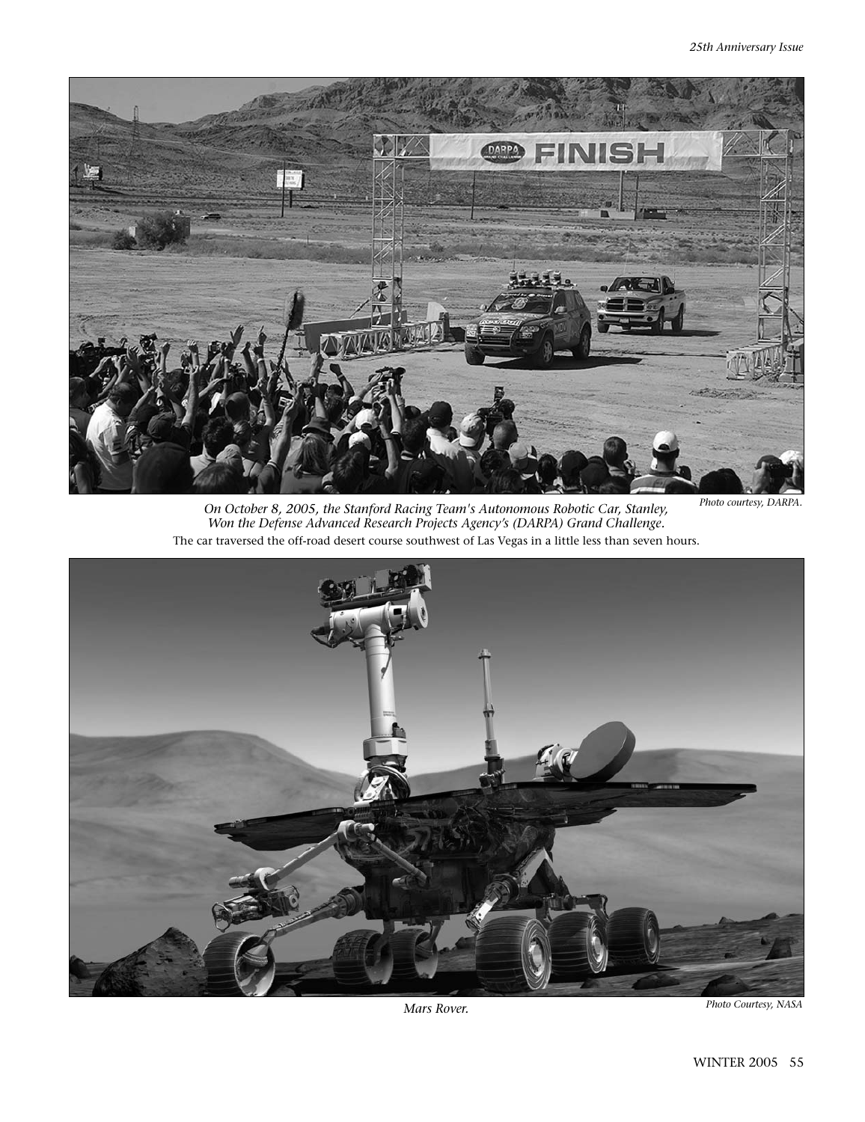

*Photo courtesy, DARPA. On October 8, 2005, the Stanford Racing Team's Autonomous Robotic Car, Stanley, Won the Defense Advanced Research Projects Agency's (DARPA) Grand Challenge.*  The car traversed the off-road desert course southwest of Las Vegas in a little less than seven hours.

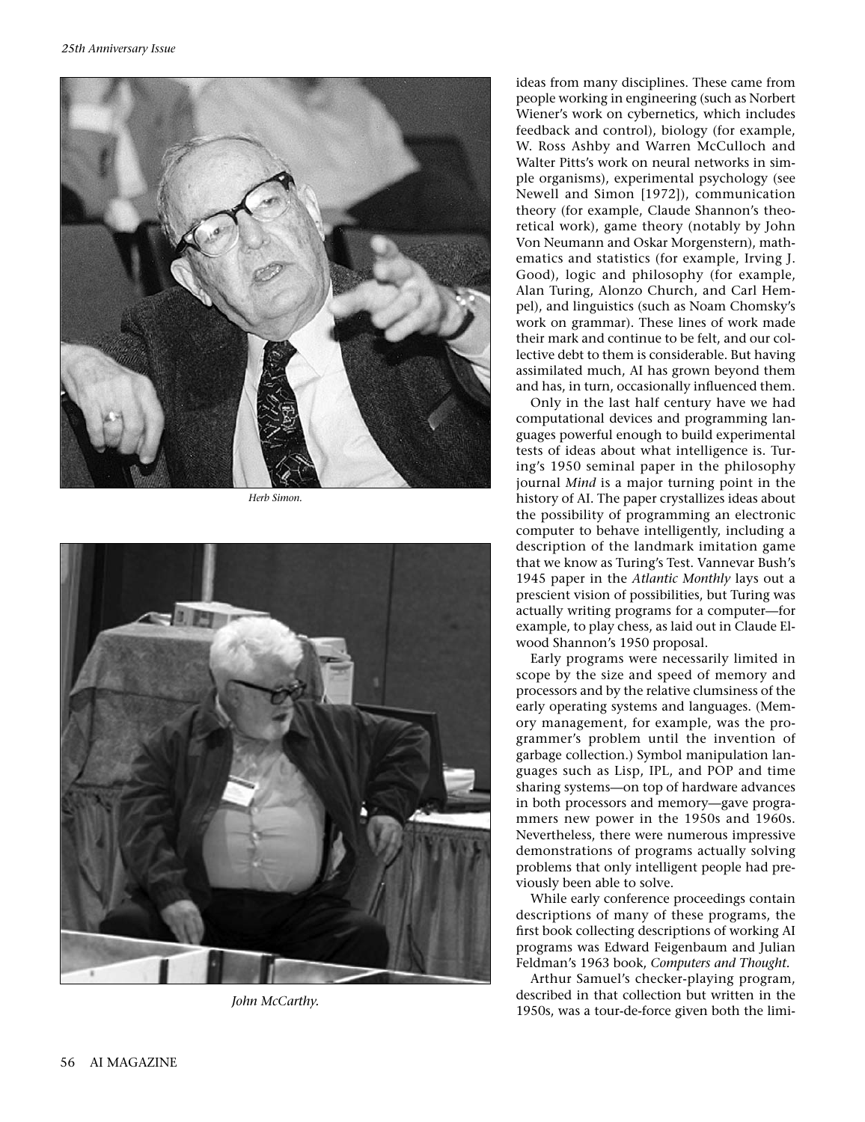

*Herb Simon.*



*John McCarthy.*

ideas from many disciplines. These came from people working in engineering (such as Norbert Wiener's work on cybernetics, which includes feedback and control), biology (for example, W. Ross Ashby and Warren McCulloch and Walter Pitts's work on neural networks in simple organisms), experimental psychology (see Newell and Simon [1972]), communication theory (for example, Claude Shannon's theoretical work), game theory (notably by John Von Neumann and Oskar Morgenstern), mathematics and statistics (for example, Irving J. Good), logic and philosophy (for example, Alan Turing, Alonzo Church, and Carl Hempel), and linguistics (such as Noam Chomsky's work on grammar). These lines of work made their mark and continue to be felt, and our collective debt to them is considerable. But having assimilated much, AI has grown beyond them and has, in turn, occasionally influenced them.

Only in the last half century have we had computational devices and programming languages powerful enough to build experimental tests of ideas about what intelligence is. Turing's 1950 seminal paper in the philosophy journal *Mind* is a major turning point in the history of AI. The paper crystallizes ideas about the possibility of programming an electronic computer to behave intelligently, including a description of the landmark imitation game that we know as Turing's Test. Vannevar Bush's 1945 paper in the *Atlantic Monthly* lays out a prescient vision of possibilities, but Turing was actually writing programs for a computer—for example, to play chess, as laid out in Claude Elwood Shannon's 1950 proposal.

Early programs were necessarily limited in scope by the size and speed of memory and processors and by the relative clumsiness of the early operating systems and languages. (Memory management, for example, was the programmer's problem until the invention of garbage collection.) Symbol manipulation languages such as Lisp, IPL, and POP and time sharing systems—on top of hardware advances in both processors and memory—gave programmers new power in the 1950s and 1960s. Nevertheless, there were numerous impressive demonstrations of programs actually solving problems that only intelligent people had previously been able to solve.

While early conference proceedings contain descriptions of many of these programs, the first book collecting descriptions of working AI programs was Edward Feigenbaum and Julian Feldman's 1963 book, *Computers and Thought.*

Arthur Samuel's checker-playing program, described in that collection but written in the 1950s, was a tour-de-force given both the limi-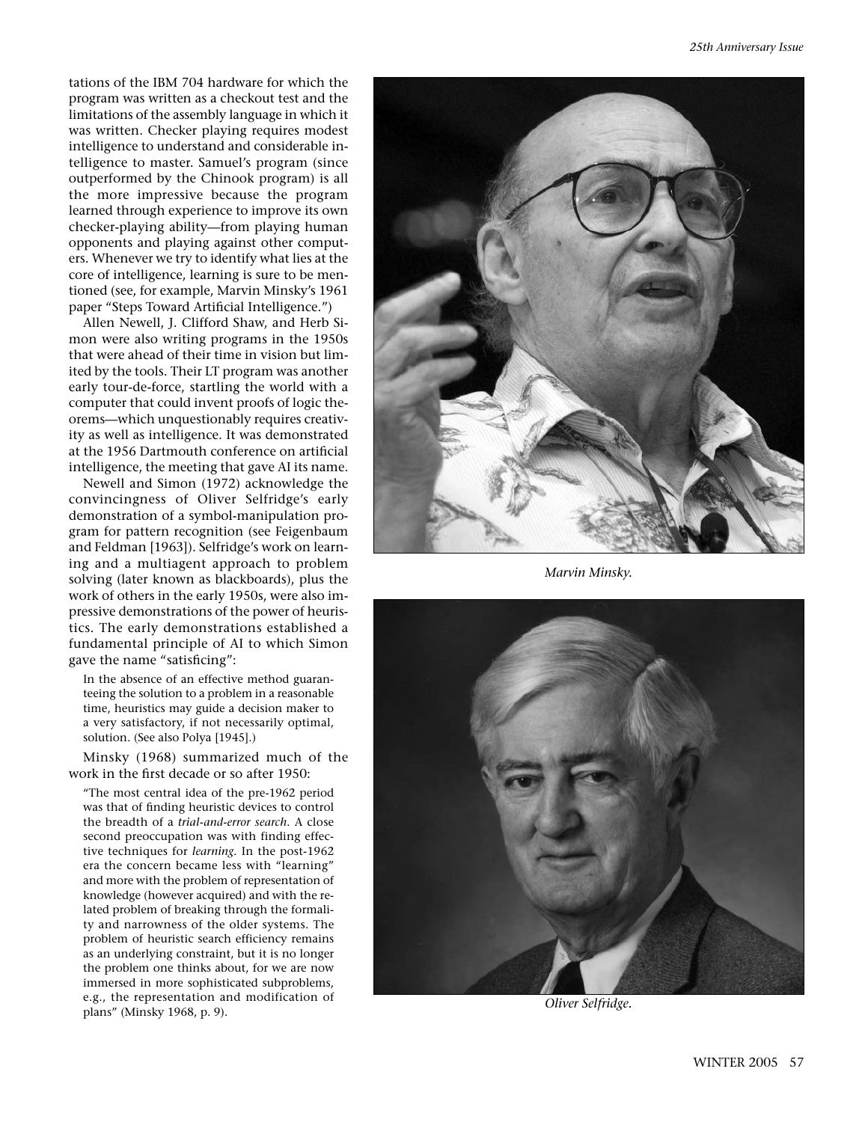tations of the IBM 704 hardware for which the program was written as a checkout test and the limitations of the assembly language in which it was written. Checker playing requires modest intelligence to understand and considerable intelligence to master. Samuel's program (since outperformed by the Chinook program) is all the more impressive because the program learned through experience to improve its own checker-playing ability—from playing human opponents and playing against other computers. Whenever we try to identify what lies at the core of intelligence, learning is sure to be mentioned (see, for example, Marvin Minsky's 1961 paper "Steps Toward Artificial Intelligence.")

Allen Newell, J. Clifford Shaw, and Herb Simon were also writing programs in the 1950s that were ahead of their time in vision but limited by the tools. Their LT program was another early tour-de-force, startling the world with a computer that could invent proofs of logic theorems—which unquestionably requires creativity as well as intelligence. It was demonstrated at the 1956 Dartmouth conference on artificial intelligence, the meeting that gave AI its name.

Newell and Simon (1972) acknowledge the convincingness of Oliver Selfridge's early demonstration of a symbol-manipulation program for pattern recognition (see Feigenbaum and Feldman [1963]). Selfridge's work on learning and a multiagent approach to problem solving (later known as blackboards), plus the work of others in the early 1950s, were also impressive demonstrations of the power of heuristics. The early demonstrations established a fundamental principle of AI to which Simon gave the name "satisficing":

In the absence of an effective method guaranteeing the solution to a problem in a reasonable time, heuristics may guide a decision maker to a very satisfactory, if not necessarily optimal, solution. (See also Polya [1945].)

Minsky (1968) summarized much of the work in the first decade or so after 1950:

"The most central idea of the pre-1962 period was that of finding heuristic devices to control the breadth of a *trial-and-error search.* A close second preoccupation was with finding effective techniques for *learning.* In the post-1962 era the concern became less with "learning" and more with the problem of representation of knowledge (however acquired) and with the related problem of breaking through the formality and narrowness of the older systems. The problem of heuristic search efficiency remains as an underlying constraint, but it is no longer the problem one thinks about, for we are now immersed in more sophisticated subproblems, e.g., the representation and modification of plans" (Minsky 1968, p. 9).



*Marvin Minsky.*



*Oliver Selfridge.*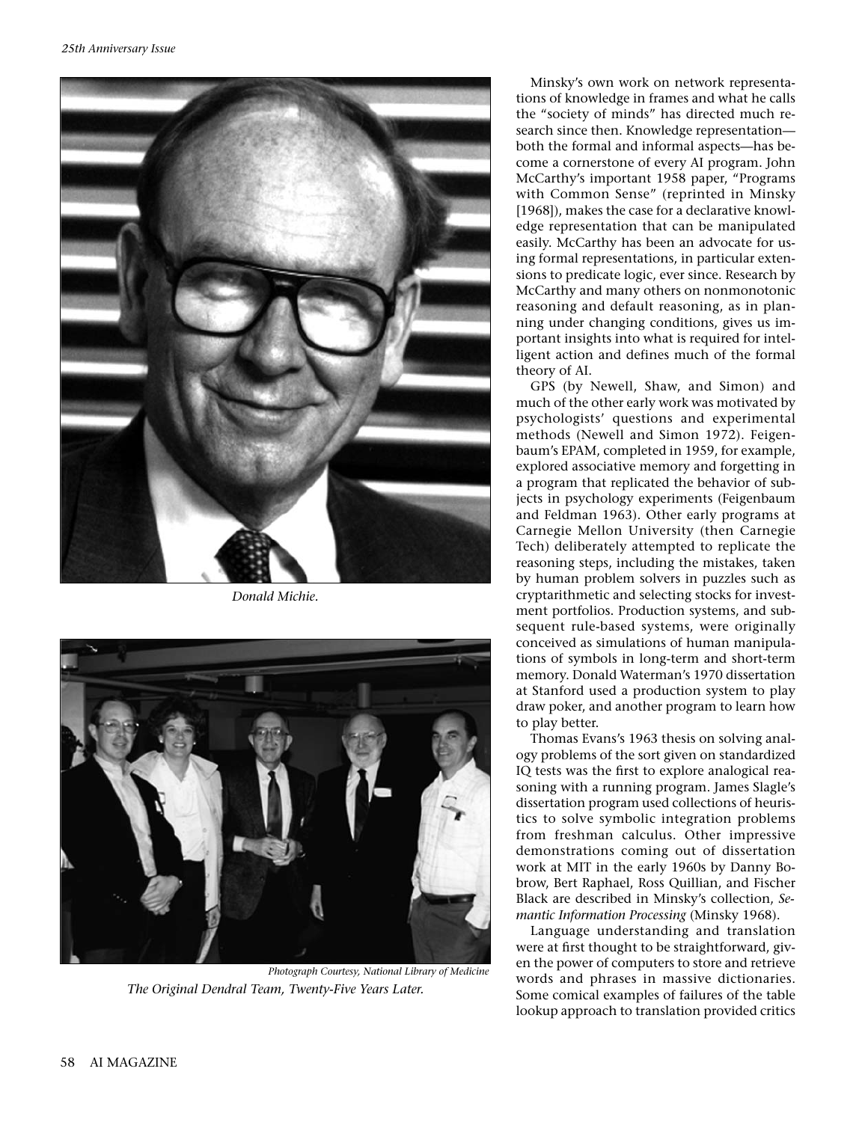

*Donald Michie.*



*Photograph Courtesy, National Library of Medicine The Original Dendral Team, Twenty-Five Years Later.*

Minsky's own work on network representations of knowledge in frames and what he calls the "society of minds" has directed much research since then. Knowledge representation both the formal and informal aspects—has become a cornerstone of every AI program. John McCarthy's important 1958 paper, "Programs with Common Sense" (reprinted in Minsky [1968]), makes the case for a declarative knowledge representation that can be manipulated easily. McCarthy has been an advocate for using formal representations, in particular extensions to predicate logic, ever since. Research by McCarthy and many others on nonmonotonic reasoning and default reasoning, as in planning under changing conditions, gives us important insights into what is required for intelligent action and defines much of the formal theory of AI.

GPS (by Newell, Shaw, and Simon) and much of the other early work was motivated by psychologists' questions and experimental methods (Newell and Simon 1972). Feigenbaum's EPAM, completed in 1959, for example, explored associative memory and forgetting in a program that replicated the behavior of subjects in psychology experiments (Feigenbaum and Feldman 1963). Other early programs at Carnegie Mellon University (then Carnegie Tech) deliberately attempted to replicate the reasoning steps, including the mistakes, taken by human problem solvers in puzzles such as cryptarithmetic and selecting stocks for investment portfolios. Production systems, and subsequent rule-based systems, were originally conceived as simulations of human manipulations of symbols in long-term and short-term memory. Donald Waterman's 1970 dissertation at Stanford used a production system to play draw poker, and another program to learn how to play better.

Thomas Evans's 1963 thesis on solving analogy problems of the sort given on standardized IQ tests was the first to explore analogical reasoning with a running program. James Slagle's dissertation program used collections of heuristics to solve symbolic integration problems from freshman calculus. Other impressive demonstrations coming out of dissertation work at MIT in the early 1960s by Danny Bobrow, Bert Raphael, Ross Quillian, and Fischer Black are described in Minsky's collection, *Semantic Information Processing* (Minsky 1968).

Language understanding and translation were at first thought to be straightforward, given the power of computers to store and retrieve words and phrases in massive dictionaries. Some comical examples of failures of the table lookup approach to translation provided critics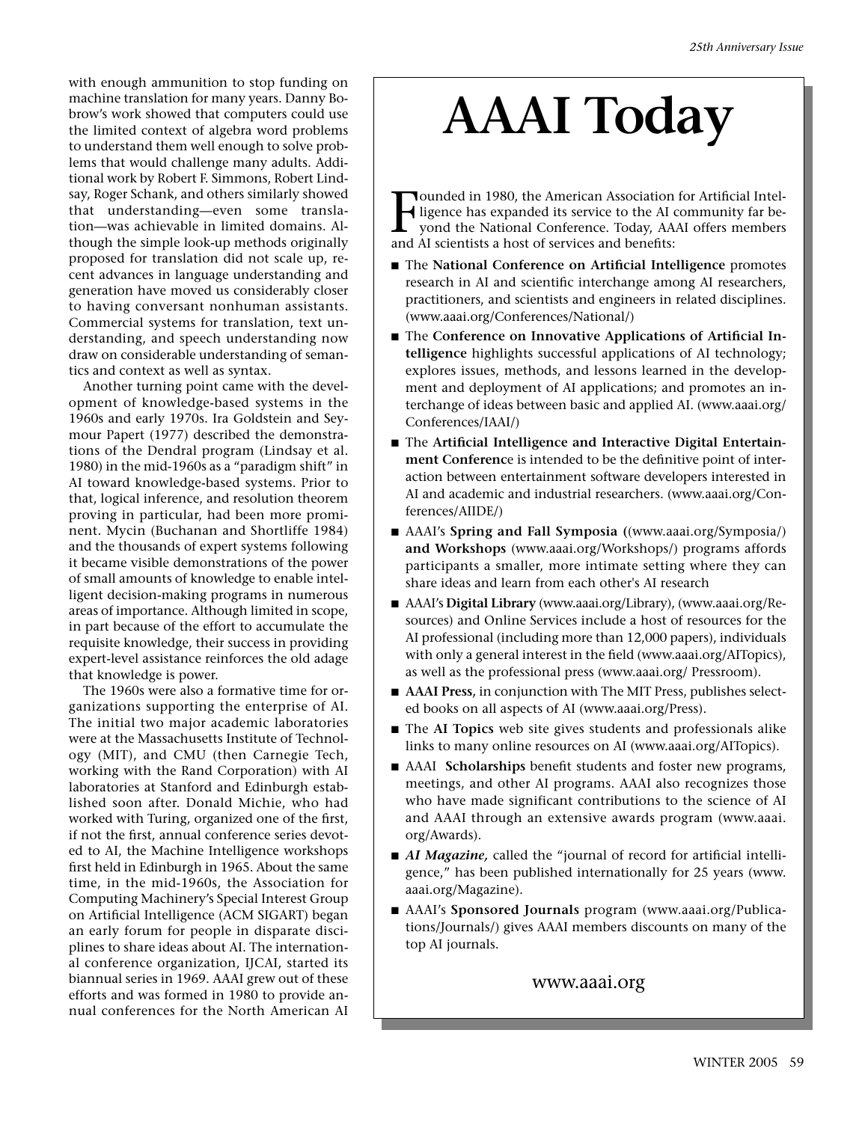with enough ammunition to stop funding on machine translation for many years. Danny Bobrow's work showed that computers could use the limited context of algebra word problems to understand them well enough to solve problems that would challenge many adults. Additional work by Robert F. Simmons, Robert Lindsay, Roger Schank, and others similarly showed that understanding—even some translation—was achievable in limited domains. Although the simple look-up methods originally proposed for translation did not scale up, recent advances in language understanding and generation have moved us considerably closer to having conversant nonhuman assistants. Commercial systems for translation, text understanding, and speech understanding now draw on considerable understanding of semantics and context as well as syntax.

Another turning point came with the development of knowledge-based systems in the 1960s and early 1970s. Ira Goldstein and Seymour Papert (1977) described the demonstrations of the Dendral program (Lindsay et al. 1980) in the mid-1960s as a "paradigm shift" in AI toward knowledge-based systems. Prior to that, logical inference, and resolution theorem proving in particular, had been more prominent. Mycin (Buchanan and Shortliffe 1984) and the thousands of expert systems following it became visible demonstrations of the power of small amounts of knowledge to enable intelligent decision-making programs in numerous areas of importance. Although limited in scope, in part because of the effort to accumulate the requisite knowledge, their success in providing expert-level assistance reinforces the old adage that knowledge is power.

The 1960s were also a formative time for organizations supporting the enterprise of AI. The initial two major academic laboratories were at the Massachusetts Institute of Technology (MIT), and CMU (then Carnegie Tech, working with the Rand Corporation) with AI laboratories at Stanford and Edinburgh established soon after. Donald Michie, who had worked with Turing, organized one of the first, if not the first, annual conference series devoted to AI, the Machine Intelligence workshops first held in Edinburgh in 1965. About the same time, in the mid-1960s, the Association for Computing Machinery's Special Interest Group on Artificial Intelligence (ACM SIGART) began an early forum for people in disparate disciplines to share ideas about AI. The international conference organization, IJCAI, started its biannual series in 1969. AAAI grew out of these efforts and was formed in 1980 to provide annual conferences for the North American AI

# **AAAI Today**

Tounded in 1980, the American Association<br>I ligence has expanded its service to the AI of<br>yond the National Conference. Today, AA<br>and AI scientists a host of services and benefits: ounded in 1980, the American Association for Artificial Intelligence has expanded its service to the AI community far beyond the National Conference. Today, AAAI offers members

- The **National Conference on Artificial Intelligence** promotes research in AI and scientific interchange among AI researchers, practitioners, and scientists and engineers in related disciplines. (www.aaai.org/Conferences/National/)
- The Conference on Innovative Applications of Artificial In**telligence** highlights successful applications of AI technology; explores issues, methods, and lessons learned in the development and deployment of AI applications; and promotes an interchange of ideas between basic and applied AI. (www.aaai.org/ Conferences/IAAI/)
- The Artificial Intelligence and Interactive Digital Entertain**ment Conferenc**e is intended to be the definitive point of interaction between entertainment software developers interested in AI and academic and industrial researchers. (www.aaai.org/Conferences/AIIDE/)
- AAAI's **Spring and Fall Symposia** ((www.aaai.org/Symposia/) **and Workshops** (www.aaai.org/Workshops/) programs affords participants a smaller, more intimate setting where they can share ideas and learn from each other's AI research
- AAAI's **Digital Library** (www.aaai.org/Library), (www.aaai.org/Resources) and Online Services include a host of resources for the AI professional (including more than 12,000 papers), individuals with only a general interest in the field (www.aaai.org/AITopics), as well as the professional press (www.aaai.org/ Pressroom).
- **AAAI Press**, in conjunction with The MIT Press, publishes selected books on all aspects of AI (www.aaai.org/Press).
- The AI Topics web site gives students and professionals alike links to many online resources on AI (www.aaai.org/AITopics).
- AAAI **Scholarships** benefit students and foster new programs, meetings, and other AI programs. AAAI also recognizes those who have made significant contributions to the science of AI and AAAI through an extensive awards program (www.aaai. org/Awards).
- *AI Magazine*, called the "journal of record for artificial intelligence," has been published internationally for 25 years (www. aaai.org/Magazine).
- AAAI's **Sponsored Journals** program (www.aaai.org/Publications/Journals/) gives AAAI members discounts on many of the top AI journals.

www.aaai.org